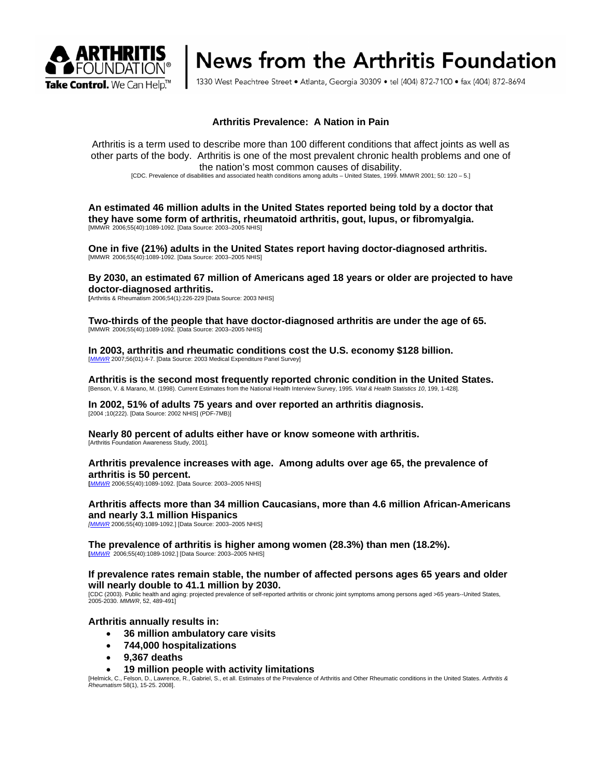

# News from the Arthritis Foundation

1330 West Peachtree Street • Atlanta, Georgia 30309 • tel (404) 872-7100 • fax (404) 872-8694

# **Arthritis Prevalence: A Nation in Pain**

Arthritis is a term used to describe more than 100 different conditions that affect joints as well as other parts of the body. Arthritis is one of the most prevalent chronic health problems and one of the nation's most common causes of disability.

[CDC. Prevalence of disabilities and associated health conditions among adults – United States, 1999. MMWR 2001; 50: 120 – 5.]

**An estimated 46 million adults in the United States reported being told by a doctor that they have some form of arthritis, rheumatoid arthritis, gout, lupus, or fibromyalgia.**  [MMWR 2006;55(40):1089-1092. [Data Source: 2003–2005 NHIS]

**One in five (21%) adults in the United States report having doctor-diagnosed arthritis.**  [MMWR 2006;55(40):1089-1092. [Data Source: 2003–2005 NHIS]

**By 2030, an estimated 67 million of Americans aged 18 years or older are projected to have doctor-diagnosed arthritis.** 

**[**Arthritis & Rheumatism 2006;54(1):226-229 [Data Source: 2003 NHIS]

**Two-thirds of the people that have doctor-diagnosed arthritis are under the age of 65.**  [MMWR 2006;55(40):1089-1092. [Data Source: 2003–2005 NHIS]

**In 2003, arthritis and rheumatic conditions cost the U.S. economy \$128 billion.**<br>[*MMWR* 2007;56(01):4-7. [Data Source: 2003 Medical Expenditure Panel Survey]

Arthritis is the second most frequently reported chronic condition in the United States.<br>[Benson, V. & Marano, M. (1998). Current Estimates from the National Health Interview Survey, 1995. Vital & Health Statistics 10, 199

**In 2002, 51% of adults 75 years and over reported an arthritis diagnosis.**  [2004 ;10(222). [Data Source: 2002 NHIS] (PDF-7MB)]

**Nearly 80 percent of adults either have or know someone with arthritis.**  [Arthritis Foundation Awareness Study, 2001].

## **Arthritis prevalence increases with age. Among adults over age 65, the prevalence of arthritis is 50 percent.**

**[***MMWR* 2006;55(40):1089-1092. [Data Source: 2003–2005 NHIS]

## **Arthritis affects more than 34 million Caucasians, more than 4.6 million African-Americans and nearly 3.1 million Hispanics**

*[MMWR* 2006;55(40):1089-1092.] [Data Source: 2003–2005 NHIS]

**The prevalence of arthritis is higher among women (28.3%) than men (18.2%). [***MMWR* 2006;55(40):1089-1092.] [Data Source: 2003–2005 NHIS]

**If prevalence rates remain stable, the number of affected persons ages 65 years and older** 

Will nearly double to 41.1 million by 2030.<br>[CDC (2003). Public health and aging: projected prevalence of self-reported arthritis or chronic joint symptoms among persons aged >65 years--United States,<br>2005-2030. *MMWR*, 52

**Arthritis annually results in:** 

- **36 million ambulatory care visits**
- **744,000 hospitalizations**
- **9,367 deaths**
- **19 million people with activity limitations**

[Helmick, C., Felson, D., Lawrence, R., Gabriel, S., et all. Estimates of the Prevalence of Arthritis and Other Rheumatic conditions in the United States. *Arthritis & Rheumatism* 58(1), 15-25. 2008].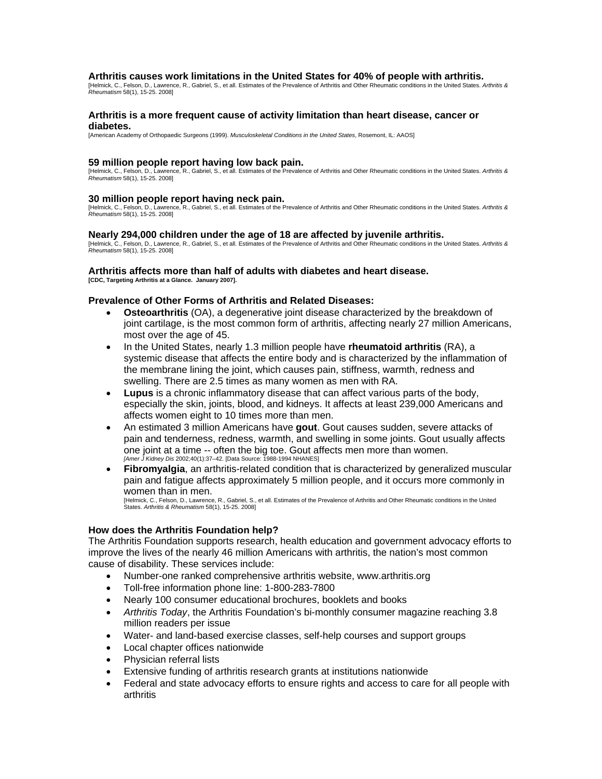#### **Arthritis causes work limitations in the United States for 40% of people with arthritis.**

[Helmick, C., Felson, D., Lawrence, R., Gabriel, S., et all. Estimates of the Prevalence of Arthritis and Other Rheumatic conditions in the United States. *Arthritis & Rheumatism* 58(1), 15-25. 2008]

#### **Arthritis is a more frequent cause of activity limitation than heart disease, cancer or diabetes.**

[American Academy of Orthopaedic Surgeons (1999). *Musculoskeletal Conditions in the United States*, Rosemont, IL: AAOS]

#### **59 million people report having low back pain.**

[Helmick, C., Felson, D., Lawrence, R., Gabriel, S., et all. Estimates of the Prevalence of Arthritis and Other Rheumatic conditions in the United States. *Arthritis & Rheumatism* 58(1), 15-25. 2008]

#### **30 million people report having neck pain.**

[Helmick, C., Felson, D., Lawrence, R., Gabriel, S., et all. Estimates of the Prevalence of Arthritis and Other Rheumatic conditions in the United States. *Arthritis & Rheumatism* 58(1), 15-25. 2008]

## **Nearly 294,000 children under the age of 18 are affected by juvenile arthritis.**

[Helmick, C., Felson, D., Lawrence, R., Gabriel, S., et all. Estimates of the Prevalence of Arthritis and Other Rheumatic conditions in the United States. *Arthritis & Rheumatism* 58(1), 15-25. 2008]

#### **Arthritis affects more than half of adults with diabetes and heart disease. [CDC, Targeting Arthritis at a Glance. January 2007].**

## **Prevalence of Other Forms of Arthritis and Related Diseases:**

- **Osteoarthritis** (OA), a degenerative joint disease characterized by the breakdown of joint cartilage, is the most common form of arthritis, affecting nearly 27 million Americans, most over the age of 45.
- In the United States, nearly 1.3 million people have **rheumatoid arthritis** (RA), a systemic disease that affects the entire body and is characterized by the inflammation of the membrane lining the joint, which causes pain, stiffness, warmth, redness and swelling. There are 2.5 times as many women as men with RA.
- **Lupus** is a chronic inflammatory disease that can affect various parts of the body, especially the skin, joints, blood, and kidneys. It affects at least 239,000 Americans and affects women eight to 10 times more than men.
- An estimated 3 million Americans have **gout**. Gout causes sudden, severe attacks of pain and tenderness, redness, warmth, and swelling in some joints. Gout usually affects one joint at a time -- often the big toe. Gout affects men more than women. *[Amer J Kidney Dis* 2002;40(1):37–42. [Data Source: 1988-1994 NHANES]
- **Fibromyalgia**, an arthritis-related condition that is characterized by generalized muscular pain and fatigue affects approximately 5 million people, and it occurs more commonly in women than in men.

[Helmick, C., Felson, D., Lawrence, R., Gabriel, S., et all. Estimates of the Prevalence of Arthritis and Other Rheumatic conditions in the United States. *Arthritis & Rheumatism* 58(1), 15-25. 2008]

## **How does the Arthritis Foundation help?**

The Arthritis Foundation supports research, health education and government advocacy efforts to improve the lives of the nearly 46 million Americans with arthritis, the nation's most common cause of disability. These services include:

- Number-one ranked comprehensive arthritis website, www.arthritis.org
- Toll-free information phone line: 1-800-283-7800
- Nearly 100 consumer educational brochures, booklets and books
- *Arthritis Today*, the Arthritis Foundation's bi-monthly consumer magazine reaching 3.8 million readers per issue
- Water- and land-based exercise classes, self-help courses and support groups
- Local chapter offices nationwide
- Physician referral lists
- Extensive funding of arthritis research grants at institutions nationwide
- Federal and state advocacy efforts to ensure rights and access to care for all people with arthritis